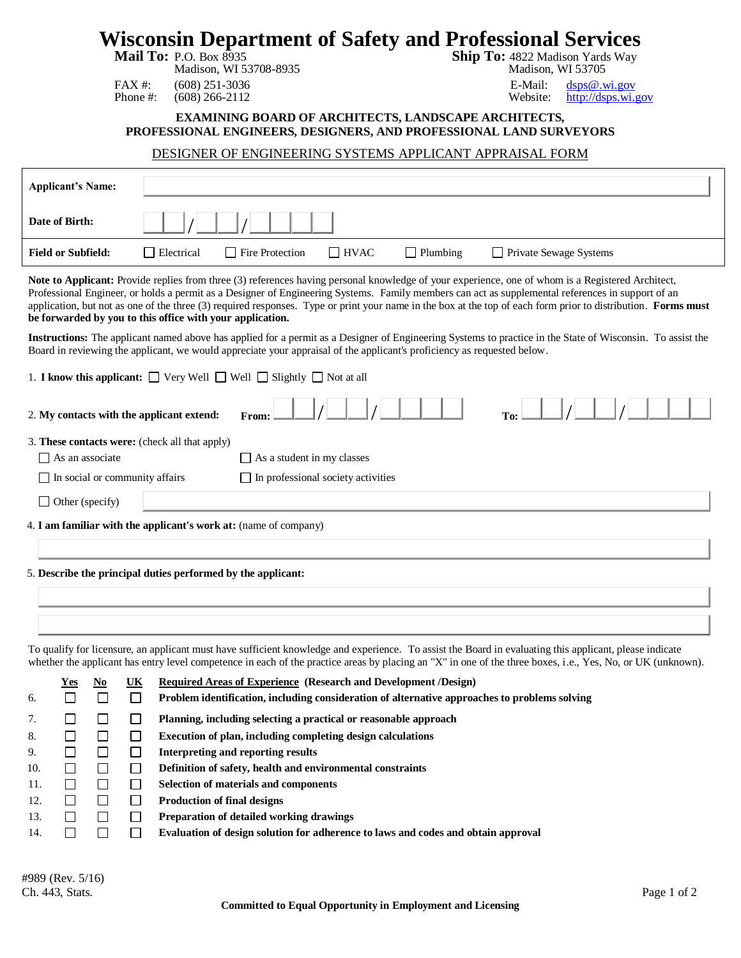## **Wisconsin Department of Safety and Professional Services**<br>Mail To: P.O. Box 8935<br>Rail To: 4822 Madison Yards Way

| 10. P.O. BOX 8933 |                       |  |
|-------------------|-----------------------|--|
|                   | Modison WI 52708 8025 |  |

**Ship To:** 4822 Madison Yards Way Madison, WI 53708-8935 Madison, WI 53705

FAX #: (608) 251-3036 E-Mail: [dsps@.wi.gov](mailto:dsps@.wi.gov)<br>Phone #: (608) 266-2112 Website: http://dsps.wi.gov [http://dsps.wi.gov](http://dsps.wi.gov/)

## **EXAMINING BOARD OF ARCHITECTS, LANDSCAPE ARCHITECTS, PROFESSIONAL ENGINEERS, DESIGNERS, AND PROFESSIONAL LAND SURVEYORS**

## DESIGNER OF ENGINEERING SYSTEMS APPLICANT APPRAISAL FORM

| <b>Applicant's Name:</b>                                                                                                                                                                                                                                                                                                                                                                                                                                                                                                             |  |  |  |  |  |
|--------------------------------------------------------------------------------------------------------------------------------------------------------------------------------------------------------------------------------------------------------------------------------------------------------------------------------------------------------------------------------------------------------------------------------------------------------------------------------------------------------------------------------------|--|--|--|--|--|
| Date of Birth:                                                                                                                                                                                                                                                                                                                                                                                                                                                                                                                       |  |  |  |  |  |
| <b>Field or Subfield:</b><br>$\Box$ Electrical<br>Fire Protection<br>$\Box$ HVAC<br>$\Box$ Plumbing<br>□ Private Sewage Systems                                                                                                                                                                                                                                                                                                                                                                                                      |  |  |  |  |  |
| Note to Applicant: Provide replies from three (3) references having personal knowledge of your experience, one of whom is a Registered Architect,<br>Professional Engineer, or holds a permit as a Designer of Engineering Systems. Family members can act as supplemental references in support of an<br>application, but not as one of the three (3) required responses. Type or print your name in the box at the top of each form prior to distribution. Forms must<br>be forwarded by you to this office with your application. |  |  |  |  |  |
| Instructions: The applicant named above has applied for a permit as a Designer of Engineering Systems to practice in the State of Wisconsin. To assist the<br>Board in reviewing the applicant, we would appreciate your appraisal of the applicant's proficiency as requested below.                                                                                                                                                                                                                                                |  |  |  |  |  |
| 1. <b>I know this applicant:</b> $\Box$ Very Well $\Box$ Well $\Box$ Slightly $\Box$ Not at all                                                                                                                                                                                                                                                                                                                                                                                                                                      |  |  |  |  |  |
| 2. My contacts with the applicant extend:<br>From:                                                                                                                                                                                                                                                                                                                                                                                                                                                                                   |  |  |  |  |  |
| 3. These contacts were: (check all that apply)                                                                                                                                                                                                                                                                                                                                                                                                                                                                                       |  |  |  |  |  |
| $\Box$ As an associate<br>$\Box$ As a student in my classes                                                                                                                                                                                                                                                                                                                                                                                                                                                                          |  |  |  |  |  |
| $\Box$ In social or community affairs<br>$\Box$ In professional society activities                                                                                                                                                                                                                                                                                                                                                                                                                                                   |  |  |  |  |  |
| $\Box$ Other (specify)                                                                                                                                                                                                                                                                                                                                                                                                                                                                                                               |  |  |  |  |  |
| 4. I am familiar with the applicant's work at: (name of company)                                                                                                                                                                                                                                                                                                                                                                                                                                                                     |  |  |  |  |  |
|                                                                                                                                                                                                                                                                                                                                                                                                                                                                                                                                      |  |  |  |  |  |
|                                                                                                                                                                                                                                                                                                                                                                                                                                                                                                                                      |  |  |  |  |  |
| 5. Describe the principal duties performed by the applicant:                                                                                                                                                                                                                                                                                                                                                                                                                                                                         |  |  |  |  |  |
|                                                                                                                                                                                                                                                                                                                                                                                                                                                                                                                                      |  |  |  |  |  |
|                                                                                                                                                                                                                                                                                                                                                                                                                                                                                                                                      |  |  |  |  |  |
| To qualify for licensure, an applicant must have sufficient knowledge and experience. To assist the Board in evaluating this applicant, please indicate<br>whether the applicant has entry level competence in each of the practice areas by placing an "X" in one of the three boxes, i.e., Yes, No, or UK (unknown).                                                                                                                                                                                                               |  |  |  |  |  |
| Required Areas of Experience (Research and Development /Design)<br>UK<br>No<br>r es                                                                                                                                                                                                                                                                                                                                                                                                                                                  |  |  |  |  |  |
| П<br>Problem identification, including consideration of alternative approaches to problems solving<br>6.                                                                                                                                                                                                                                                                                                                                                                                                                             |  |  |  |  |  |
| $\Box$<br>$\Box$<br>Planning, including selecting a practical or reasonable approach<br>$\Box$<br>$\prime$ .                                                                                                                                                                                                                                                                                                                                                                                                                         |  |  |  |  |  |
| $\Box$<br>Execution of plan, including completing design calculations<br>8.<br>$\Box$                                                                                                                                                                                                                                                                                                                                                                                                                                                |  |  |  |  |  |
| $\Box$<br>$\Box$<br>Interpreting and reporting results<br>П                                                                                                                                                                                                                                                                                                                                                                                                                                                                          |  |  |  |  |  |
| 9.                                                                                                                                                                                                                                                                                                                                                                                                                                                                                                                                   |  |  |  |  |  |
| $\Box$<br>$\Box$<br>$\Box$<br>Definition of safety, health and environmental constraints<br>10.<br>$\Box$<br><b>Selection of materials and components</b><br>$\Box$<br>11.<br>$\Box$                                                                                                                                                                                                                                                                                                                                                 |  |  |  |  |  |

- 13. **Preparation of detailed working drawings**
- 14. **Evaluation of design solution for adherence to laws and codes and obtain approval**